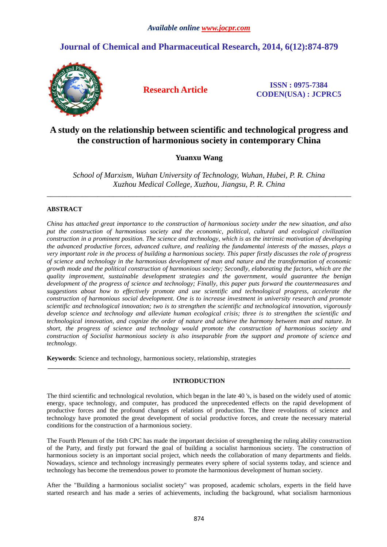# **Journal of Chemical and Pharmaceutical Research, 2014, 6(12):874-879**



**Research Article ISSN : 0975-7384 CODEN(USA) : JCPRC5**

## **A study on the relationship between scientific and technological progress and the construction of harmonious society in contemporary China**

## **Yuanxu Wang**

*School of Marxism, Wuhan University of Technology, Wuhan, Hubei, P. R. China Xuzhou Medical College, Xuzhou, Jiangsu, P. R. China* 

*\_\_\_\_\_\_\_\_\_\_\_\_\_\_\_\_\_\_\_\_\_\_\_\_\_\_\_\_\_\_\_\_\_\_\_\_\_\_\_\_\_\_\_\_\_\_\_\_\_\_\_\_\_\_\_\_\_\_\_\_\_\_\_\_\_\_\_\_\_\_\_\_\_\_\_\_\_\_* 

## **ABSTRACT**

*China has attached great importance to the construction of harmonious society under the new situation, and also put the construction of harmonious society and the economic, political, cultural and ecological civilization construction in a prominent position. The science and technology, which is as the intrinsic motivation of developing the advanced productive forces, advanced culture, and realizing the fundamental interests of the masses, plays a very important role in the process of building a harmonious society. This paper firstly discusses the role of progress of science and technology in the harmonious development of man and nature and the transformation of economic growth mode and the political construction of harmonious society; Secondly, elaborating the factors, which are the quality improvement, sustainable development strategies and the government, would guarantee the benign development of the progress of science and technology; Finally, this paper puts forward the countermeasures and suggestions about how to effectively promote and use scientific and technological progress, accelerate the construction of harmonious social development. One is to increase investment in university research and promote scientific and technological innovation; two is to strengthen the scientific and technological innovation, vigorously develop science and technology and alleviate human ecological crisis; three is to strengthen the scientific and technological innovation, and cognize the order of nature and achieve the harmony between man and nature. In short, the progress of science and technology would promote the construction of harmonious society and construction of Socialist harmonious society is also inseparable from the support and promote of science and technology.* 

**Keywords**: Science and technology, harmonious society, relationship, strategies

### **INTRODUCTION**

**\_\_\_\_\_\_\_\_\_\_\_\_\_\_\_\_\_\_\_\_\_\_\_\_\_\_\_\_\_\_\_\_\_\_\_\_\_\_\_\_\_\_\_\_\_\_\_\_\_\_\_\_\_\_\_\_\_\_\_\_\_\_\_\_\_\_\_\_\_\_\_\_\_\_\_\_\_\_\_\_\_\_\_\_\_\_\_\_\_\_\_\_\_** 

The third scientific and technological revolution, which began in the late 40 's, is based on the widely used of atomic energy, space technology, and computer, has produced the unprecedented effects on the rapid development of productive forces and the profound changes of relations of production. The three revolutions of science and technology have promoted the great development of social productive forces, and create the necessary material conditions for the construction of a harmonious society.

The Fourth Plenum of the 16th CPC has made the important decision of strengthening the ruling ability construction of the Party, and firstly put forward the goal of building a socialist harmonious society. The construction of harmonious society is an important social project, which needs the collaboration of many departments and fields. Nowadays, science and technology increasingly permeates every sphere of social systems today, and science and technology has become the tremendous power to promote the harmonious development of human society.

After the "Building a harmonious socialist society" was proposed, academic scholars, experts in the field have started research and has made a series of achievements, including the background, what socialism harmonious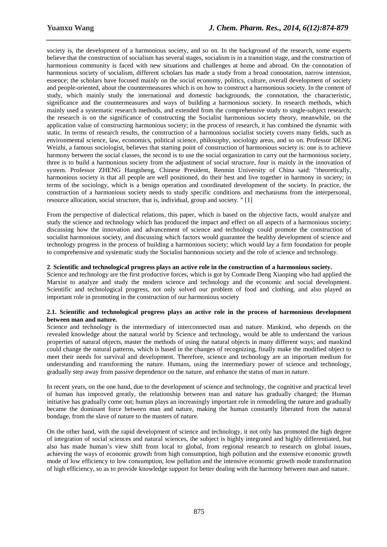society is, the development of a harmonious society, and so on. In the background of the research, some experts believe that the construction of socialism has several stages, socialism is in a transition stage, and the construction of harmonious community is faced with new situations and challenges at home and abroad. On the connotation of harmonious society of socialism, different scholars has made a study from a broad connotation, narrow intension, essence; the scholars have focused mainly on the social economy, politics, culture, overall development of society and people-oriented, about the countermeasures which is on how to construct a harmonious society. In the content of study, which mainly study the international and domestic backgrounds, the connotation, the characteristic, significance and the countermeasures and ways of building a harmonious society. In research methods, which mainly used a systematic research methods, and extended from the comprehensive study to single-subject research; the research is on the significance of constructing the Socialist harmonious society theory, meanwhile, on the application value of constructing harmonious society; in the process of research, it has combined the dynamic with static. In terms of research results, the construction of a harmonious socialist society covers many fields, such as environmental science, law, economics, political science, philosophy, sociology areas, and so on. Professor DENG Weizhi, a famous sociologist, believes that starting point of construction of harmonious society is: one is to achieve harmony between the social classes, the second is to use the social organization to carry out the harmonious society, three is to build a harmonious society from the adjustment of social structure, four is mainly in the innovation of system. Professor ZHENG Hangsheng, Chinese President, Renmin University of China said: "theoretically, harmonious society is that all people are well positioned, do their best and live together in harmony in society; in terms of the sociology, which is a benign operation and coordinated development of the society. In practice, the construction of a harmonious society needs to study specific conditions and mechanisms from the interpersonal, resource allocation, social structure, that is, individual, group and society. " [1]

*\_\_\_\_\_\_\_\_\_\_\_\_\_\_\_\_\_\_\_\_\_\_\_\_\_\_\_\_\_\_\_\_\_\_\_\_\_\_\_\_\_\_\_\_\_\_\_\_\_\_\_\_\_\_\_\_\_\_\_\_\_\_\_\_\_\_\_\_\_\_\_\_\_\_\_\_\_\_*

From the perspective of dialectical relations, this paper, which is based on the objective facts, would analyze and study the science and technology which has produced the impact and effect on all aspects of a harmonious society; discussing how the innovation and advancement of science and technology could promote the construction of socialist harmonious society, and discussing which factors would guarantee the healthy development of science and technology progress in the process of building a harmonious society; which would lay a firm foundation for people to comprehensive and systematic study the Socialist harmonious society and the role of science and technology.

#### **2**. **Scientific and technological progress plays an active role in the construction of a harmonious society.**

Science and technology are the first productive forces, which is got by Comrade Deng Xiaoping who had applied the Marxist to analyze and study the modern science and technology and the economic and social development. Scientific and technological progress, not only solved our problem of food and clothing, and also played an important role in promoting in the construction of our harmonious society

#### **2.1. Scientific and technological progress plays an active role in the process of harmonious development between man and nature.**

Science and technology is the intermediary of interconnected man and nature. Mankind, who depends on the revealed knowledge about the natural world by Science and technology, would be able to understand the various properties of natural objects, master the methods of using the natural objects in many different ways; and mankind could change the natural patterns, which is based in the changes of recognizing, finally make the modified object to meet their needs for survival and development. Therefore, science and technology are an important medium for understanding and transforming the nature. Humans, using the intermediary power of science and technology, gradually step away from passive dependence on the nature, and enhance the status of man in nature.

In recent years, on the one hand, due to the development of science and technology, the cognitive and practical level of human has improved greatly, the relationship between man and nature has gradually changed; the Human initiative has gradually come out; human plays an increasingly important role in remodeling the nature and gradually became the dominant force between man and nature, making the human constantly liberated from the natural bondage, from the slave of nature to the masters of nature.

On the other hand, with the rapid development of science and technology, it not only has promoted the high degree of integration of social sciences and natural sciences, the subject is highly integrated and highly differentiated, but also has made human's view shift from local to global, from regional research to research on global issues, achieving the ways of economic growth from high consumption, high pollution and the extensive economic growth mode of low efficiency to low consumption, low pollution and the intensive economic growth mode transformation of high efficiency, so as to provide knowledge support for better dealing with the harmony between man and nature.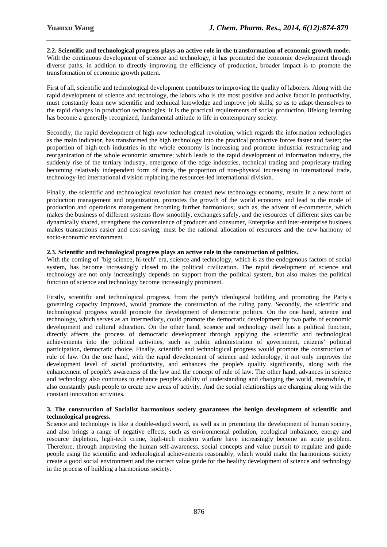**2.2. Scientific and technological progress plays an active role in the transformation of economic growth mode.** With the continuous development of science and technology, it has promoted the economic development through diverse paths, in addition to directly improving the efficiency of production, broader impact is to promote the transformation of economic growth pattern.

*\_\_\_\_\_\_\_\_\_\_\_\_\_\_\_\_\_\_\_\_\_\_\_\_\_\_\_\_\_\_\_\_\_\_\_\_\_\_\_\_\_\_\_\_\_\_\_\_\_\_\_\_\_\_\_\_\_\_\_\_\_\_\_\_\_\_\_\_\_\_\_\_\_\_\_\_\_\_*

First of all, scientific and technological development contributes to improving the quality of laborers. Along with the rapid development of science and technology, the labors who is the most positive and active factor in productivity, must constantly learn new scientific and technical knowledge and improve job skills, so as to adapt themselves to the rapid changes in production technologies. It is the practical requirements of social production, lifelong learning has become a generally recognized, fundamental attitude to life in contemporary society.

Secondly, the rapid development of high-new technological revolution, which regards the information technologies as the main indicator, has transformed the high technology into the practical productive forces faster and faster; the proportion of high-tech industries in the whole economy is increasing and promote industrial restructuring and reorganization of the whole economic structure; which leads to the rapid development of information industry, the suddenly rise of the tertiary industry, emergence of the edge industries, technical trading and proprietary trading becoming relatively independent form of trade, the proportion of non-physical increasing in international trade, technology-led international division replacing the resources-led international division.

Finally, the scientific and technological revolution has created new technology economy, results in a new form of production management and organization, promotes the growth of the world economy and lead to the mode of production and operations management becoming further harmonious; such as, the advent of e-commerce, which makes the business of different systems flow smoothly, exchanges safely, and the resources of different sites can be dynamically shared, strengthens the convenience of producer and consumer, Enterprise and inter-enterprise business, makes transactions easier and cost-saving, must be the rational allocation of resources and the new harmony of socio-economic environment

### **2.3. Scientific and technological progress plays an active role in the construction of politics.**

With the coming of "big science, hi-tech" era, science and technology, which is as the endogenous factors of social system, has become increasingly closed to the political civilization. The rapid development of science and technology are not only increasingly depends on support from the political system, but also makes the political function of science and technology become increasingly prominent.

Firstly, scientific and technological progress, from the party's ideological building and promoting the Party's governing capacity improved, would promote the construction of the ruling party. Secondly, the scientific and technological progress would promote the development of democratic politics. On the one hand, science and technology, which serves as an intermediary, could promote the democratic development by two paths of economic development and cultural education. On the other hand, science and technology itself has a political function, directly affects the process of democratic development through applying the scientific and technological achievements into the political activities, such as public administration of government, citizens' political participation, democratic choice. Finally, scientific and technological progress would promote the construction of rule of law. On the one hand, with the rapid development of science and technology, it not only improves the development level of social productivity, and enhances the people's quality significantly, along with the enhancement of people's awareness of the law and the concept of rule of law. The other hand, advances in science and technology also continues to enhance people's ability of understanding and changing the world, meanwhile, it also constantly push people to create new areas of activity. And the social relationships are changing along with the constant innovation activities.

#### **3. The construction of Socialist harmonious society guarantees the benign development of scientific and technological progress.**

Science and technology is like a double-edged sword, as well as in promoting the development of human society, and also brings a range of negative effects, such as environmental pollution, ecological imbalance, energy and resource depletion, high-tech crime, high-tech modern warfare have increasingly become an acute problem. Therefore, through improving the human self-awareness, social concepts and value pursuit to regulate and guide people using the scientific and technological achievements reasonably, which would make the harmonious society create a good social environment and the correct value guide for the healthy development of science and technology in the process of building a harmonious society.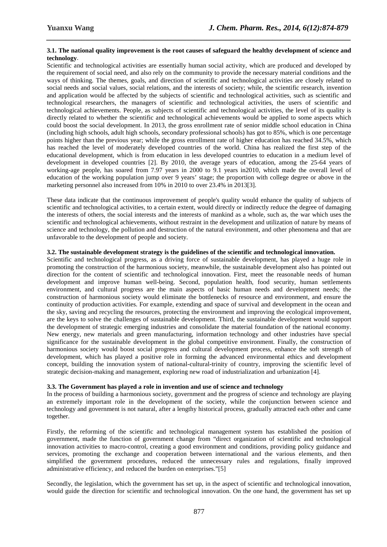#### **3.1. The national quality improvement is the root causes of safeguard the healthy development of science and technology**.

*\_\_\_\_\_\_\_\_\_\_\_\_\_\_\_\_\_\_\_\_\_\_\_\_\_\_\_\_\_\_\_\_\_\_\_\_\_\_\_\_\_\_\_\_\_\_\_\_\_\_\_\_\_\_\_\_\_\_\_\_\_\_\_\_\_\_\_\_\_\_\_\_\_\_\_\_\_\_*

Scientific and technological activities are essentially human social activity, which are produced and developed by the requirement of social need, and also rely on the community to provide the necessary material conditions and the ways of thinking. The themes, goals, and direction of scientific and technological activities are closely related to social needs and social values, social relations, and the interests of society; while, the scientific research, invention and application would be affected by the subjects of scientific and technological activities, such as scientific and technological researchers, the managers of scientific and technological activities, the users of scientific and technological achievements. People, as subjects of scientific and technological activities, the level of its quality is directly related to whether the scientific and technological achievements would be applied to some aspects which could boost the social development. In 2013, the gross enrollment rate of senior middle school education in China (including high schools, adult high schools, secondary professional schools) has got to 85%, which is one percentage points higher than the previous year; while the gross enrollment rate of higher education has reached 34.5%, which has reached the level of moderately developed countries of the world. China has realized the first step of the educational development, which is from education in less developed countries to education in a medium level of development in developed countries [2]. By 2010, the average years of education, among the 25-64 years of working-age people, has soared from 7.97 years in 2000 to 9.1 years in2010, which made the overall level of education of the working population jump over 9 years' stage; the proportion with college degree or above in the marketing personnel also increased from 10% in 2010 to over 23.4% in 2013[3].

These data indicate that the continuous improvement of people's quality would enhance the quality of subjects of scientific and technological activities, to a certain extent, would directly or indirectly reduce the degree of damaging the interests of others, the social interests and the interests of mankind as a whole, such as, the war which uses the scientific and technological achievements, without restraint in the development and utilization of nature by means of science and technology, the pollution and destruction of the natural environment, and other phenomena and that are unfavorable to the development of people and society.

#### **3.2. The sustainable development strategy is the guidelines of the scientific and technological innovation.**

Scientific and technological progress, as a driving force of sustainable development, has played a huge role in promoting the construction of the harmonious society, meanwhile, the sustainable development also has pointed out direction for the content of scientific and technological innovation. First, meet the reasonable needs of human development and improve human well-being. Second, population health, food security, human settlements environment, and cultural progress are the main aspects of basic human needs and development needs; the construction of harmonious society would eliminate the bottlenecks of resource and environment, and ensure the continuity of production activities. For example, extending and space of survival and development in the ocean and the sky, saving and recycling the resources, protecting the environment and improving the ecological improvement, are the keys to solve the challenges of sustainable development. Third, the sustainable development would support the development of strategic emerging industries and consolidate the material foundation of the national economy. New energy, new materials and green manufacturing, information technology and other industries have special significance for the sustainable development in the global competitive environment. Finally, the construction of harmonious society would boost social progress and cultural development process, enhance the soft strength of development, which has played a positive role in forming the advanced environmental ethics and development concept, building the innovation system of national-cultural-trinity of country, improving the scientific level of strategic decision-making and management, exploring new road of industrialization and urbanization [4].

#### **3.3. The Government has played a role in invention and use of science and technology**

In the process of building a harmonious society, government and the progress of science and technology are playing an extremely important role in the development of the society, while the conjunction between science and technology and government is not natural, after a lengthy historical process, gradually attracted each other and came together.

Firstly, the reforming of the scientific and technological management system has established the position of government, made the function of government change from "direct organization of scientific and technological innovation activities to macro-control, creating a good environment and conditions, providing policy guidance and services, promoting the exchange and cooperation between international and the various elements, and then simplified the government procedures, reduced the unnecessary rules and regulations, finally improved administrative efficiency, and reduced the burden on enterprises."[5]

Secondly, the legislation, which the government has set up, in the aspect of scientific and technological innovation, would guide the direction for scientific and technological innovation. On the one hand, the government has set up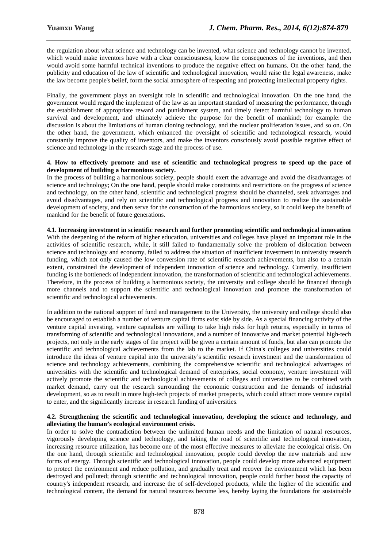the regulation about what science and technology can be invented, what science and technology cannot be invented, which would make inventors have with a clear consciousness, know the consequences of the inventions, and then would avoid some harmful technical inventions to produce the negative effect on humans. On the other hand, the publicity and education of the law of scientific and technological innovation, would raise the legal awareness, make the law become people's belief, form the social atmosphere of respecting and protecting intellectual property rights.

*\_\_\_\_\_\_\_\_\_\_\_\_\_\_\_\_\_\_\_\_\_\_\_\_\_\_\_\_\_\_\_\_\_\_\_\_\_\_\_\_\_\_\_\_\_\_\_\_\_\_\_\_\_\_\_\_\_\_\_\_\_\_\_\_\_\_\_\_\_\_\_\_\_\_\_\_\_\_*

Finally, the government plays an oversight role in scientific and technological innovation. On the one hand, the government would regard the implement of the law as an important standard of measuring the performance, through the establishment of appropriate reward and punishment system, and timely detect harmful technology to human survival and development, and ultimately achieve the purpose for the benefit of mankind; for example: the discussion is about the limitations of human cloning technology, and the nuclear proliferation issues, and so on. On the other hand, the government, which enhanced the oversight of scientific and technological research, would constantly improve the quality of inventors, and make the inventors consciously avoid possible negative effect of science and technology in the research stage and the process of use.

#### **4. How to effectively promote and use of scientific and technological progress to speed up the pace of development of building a harmonious society.**

In the process of building a harmonious society, people should exert the advantage and avoid the disadvantages of science and technology; On the one hand, people should make constraints and restrictions on the progress of science and technology, on the other hand, scientific and technological progress should be channeled, seek advantages and avoid disadvantages, and rely on scientific and technological progress and innovation to realize the sustainable development of society, and then serve for the construction of the harmonious society, so it could keep the benefit of mankind for the benefit of future generations.

#### **4.1. Increasing investment in scientific research and further promoting scientific and technological innovation**

With the deepening of the reform of higher education, universities and colleges have played an important role in the activities of scientific research, while, it still failed to fundamentally solve the problem of dislocation between science and technology and economy, failed to address the situation of insufficient investment in university research funding, which not only caused the low conversion rate of scientific research achievements, but also to a certain extent, constrained the development of independent innovation of science and technology. Currently, insufficient funding is the bottleneck of independent innovation, the transformation of scientific and technological achievements. Therefore, in the process of building a harmonious society, the university and college should be financed through more channels and to support the scientific and technological innovation and promote the transformation of scientific and technological achievements.

In addition to the national support of fund and management to the University, the university and college should also be encouraged to establish a number of venture capital firms exist side by side. As a special financing activity of the venture capital investing, venture capitalists are willing to take high risks for high returns, especially in terms of transforming of scientific and technological innovations, and a number of innovative and market potential high-tech projects, not only in the early stages of the project will be given a certain amount of funds, but also can promote the scientific and technological achievements from the lab to the market. If China's colleges and universities could introduce the ideas of venture capital into the university's scientific research investment and the transformation of science and technology achievements, combining the comprehensive scientific and technological advantages of universities with the scientific and technological demand of enterprises, social economy, venture investment will actively promote the scientific and technological achievements of colleges and universities to be combined with market demand, carry out the research surrounding the economic construction and the demands of industrial development, so as to result in more high-tech projects of market prospects, which could attract more venture capital to enter, and the significantly increase in research funding of universities.

#### **4.2. Strengthening the scientific and technological innovation, developing the science and technology, and alleviating the human's ecological environment crisis.**

In order to solve the contradiction between the unlimited human needs and the limitation of natural resources, vigorously developing science and technology, and taking the road of scientific and technological innovation, increasing resource utilization, has become one of the most effective measures to alleviate the ecological crisis. On the one hand, through scientific and technological innovation, people could develop the new materials and new forms of energy. Through scientific and technological innovation, people could develop more advanced equipment to protect the environment and reduce pollution, and gradually treat and recover the environment which has been destroyed and polluted; through scientific and technological innovation, people could further boost the capacity of country's independent research, and increase the of self-developed products, while the higher of the scientific and technological content, the demand for natural resources become less, hereby laying the foundations for sustainable